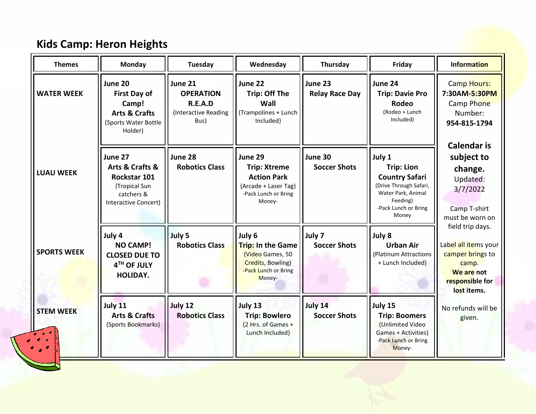| <b>Themes</b>                                                                                           | <b>Monday</b>                                                                                          | Tuesday                                                                | Wednesday                                                                                                      | Thursday                         | Friday                                                                                                                                            | <b>Information</b>                                                                                                    |
|---------------------------------------------------------------------------------------------------------|--------------------------------------------------------------------------------------------------------|------------------------------------------------------------------------|----------------------------------------------------------------------------------------------------------------|----------------------------------|---------------------------------------------------------------------------------------------------------------------------------------------------|-----------------------------------------------------------------------------------------------------------------------|
| <b>WATER WEEK</b>                                                                                       | June 20<br><b>First Day of</b><br>Camp!<br><b>Arts &amp; Crafts</b><br>(Sports Water Bottle<br>Holder) | June 21<br><b>OPERATION</b><br>R.E.A.D<br>(Interactive Reading<br>Bus) | June 22<br><b>Trip: Off The</b><br>Wall<br>(Trampolines + Lunch<br>Included)                                   | June 23<br><b>Relay Race Day</b> | June 24<br><b>Trip: Davie Pro</b><br><b>Rodeo</b><br>(Rodeo + Lunch<br>Included)                                                                  | <b>Camp Hours:</b><br>7:30AM-5:30PM<br>Camp Phone<br>Number:<br>954-815-1794                                          |
| <b>LUAU WEEK</b>                                                                                        | June 27<br>Arts & Crafts &<br>Rockstar 101<br>(Tropical Sun<br>catchers &<br>Interactive Concert)      | June 28<br><b>Robotics Class</b>                                       | June 29<br><b>Trip: Xtreme</b><br><b>Action Park</b><br>(Arcade + Laser Tag)<br>-Pack Lunch or Bring<br>Money- | June 30<br><b>Soccer Shots</b>   | July 1<br><b>Trip: Lion</b><br><b>Country Safari</b><br>(Drive Through Safari,<br>Water Park, Animal<br>Feeding)<br>-Pack Lunch or Bring<br>Money | <b>Calendar is</b><br>subject to<br>change.<br>Updated:<br>3/7/2022<br>Camp T-shirt<br>must be worn on                |
| <b>SPORTS WEEK</b>                                                                                      | July 4<br><b>NO CAMP!</b><br><b>CLOSED DUE TO</b><br>4TH OF JULY<br>HOLIDAY.                           | July 5<br><b>Robotics Class</b>                                        | July 6<br><b>Trip: In the Game</b><br>(Video Games, 50<br>Credits, Bowling)<br>-Pack Lunch or Bring<br>Money-  | July 7<br><b>Soccer Shots</b>    | July 8<br><b>Urban Air</b><br>(Platinum Attractions<br>+ Lunch Included)                                                                          | field trip days.<br>Label all items your<br>camper brings to<br>camp.<br>We are not<br>responsible for<br>lost items. |
| <b>STEM WEEK</b><br>$\begin{array}{ccccc}\n\bullet & \bullet & \bullet \\ \end{array}$<br>$\rightarrow$ | July 11<br><b>Arts &amp; Crafts</b><br>(Sports Bookmarks)                                              | July 12<br><b>Robotics Class</b>                                       | July 13<br><b>Trip: Bowlero</b><br>(2 Hrs. of Games +<br>Lunch Included)                                       | July 14<br><b>Soccer Shots</b>   | July 15<br><b>Trip: Boomers</b><br>(Unlimited Video<br>Games + Activities)<br>-Pack Lunch or Bring<br>Money-                                      | No refunds will be<br>given.                                                                                          |

## **Kids Camp: Heron Heights**